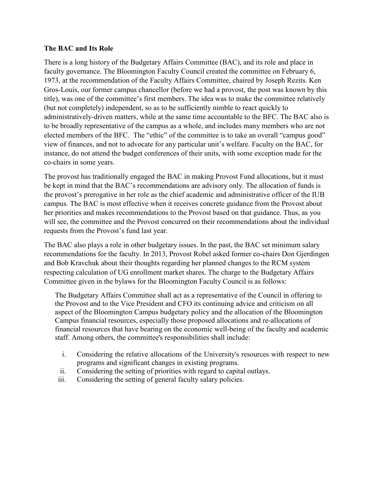## **The BAC and Its Role**

There is a long history of the Budgetary Affairs Committee (BAC), and its role and place in faculty governance. The Bloomington Faculty Council created the committee on February 6, 1973, at the recommendation of the Faculty Affairs Committee, chaired by Joseph Rezits. Ken Gros-Louis, our former campus chancellor (before we had a provost, the post was known by this title), was one of the committee's first members. The idea was to make the committee relatively (but not completely) independent, so as to be sufficiently nimble to react quickly to administratively-driven matters, while at the same time accountable to the BFC. The BAC also is to be broadly representative of the campus as a whole, and includes many members who are not elected members of the BFC. The "ethic" of the committee is to take an overall "campus good" view of finances, and not to advocate for any particular unit's welfare. Faculty on the BAC, for instance, do not attend the budget conferences of their units, with some exception made for the co-chairs in some years.

The provost has traditionally engaged the BAC in making Provost Fund allocations, but it must be kept in mind that the BAC's recommendations are advisory only. The allocation of funds is the provost's prerogative in her role as the chief academic and administrative officer of the IUB campus. The BAC is most effective when it receives concrete guidance from the Provost about her priorities and makes recommendations to the Provost based on that guidance. Thus, as you will see, the committee and the Provost concurred on their recommendations about the individual requests from the Provost's fund last year.

The BAC also plays a role in other budgetary issues. In the past, the BAC set minimum salary recommendations for the faculty. In 2013, Provost Robel asked former co-chairs Don Gjerdingen and Bob Kravchuk about their thoughts regarding her planned changes to the RCM system respecting calculation of UG enrollment market shares. The charge to the Budgetary Affairs Committee given in the bylaws for the Bloomington Faculty Council is as follows:

The Budgetary Affairs Committee shall act as a representative of the Council in offering to the Provost and to the Vice President and CFO its continuing advice and criticism on all aspect of the Bloomington Campus budgetary policy and the allocation of the Bloomington Campus financial resources, especially those proposed allocations and re-allocations of financial resources that have bearing on the economic well-being of the faculty and academic staff. Among others, the committee's responsibilities shall include:

- i. Considering the relative allocations of the University's resources with respect to new programs and significant changes in existing programs.
- ii. Considering the setting of priorities with regard to capital outlays.
- iii. Considering the setting of general faculty salary policies.